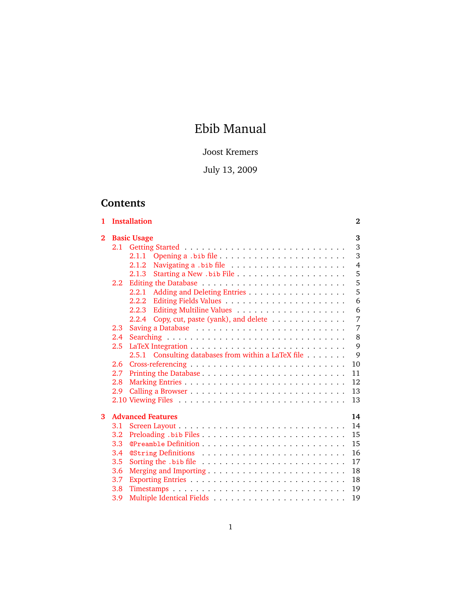# Ebib Manual

# Joost Kremers

# July 13, 2009

# **Contents**

| 1        |     | <b>Installation</b>                                 | $\bf{2}$       |  |  |  |  |  |  |
|----------|-----|-----------------------------------------------------|----------------|--|--|--|--|--|--|
| $\bf{2}$ |     | <b>Basic Usage</b>                                  |                |  |  |  |  |  |  |
|          |     |                                                     | 3              |  |  |  |  |  |  |
|          |     | 2.1.1                                               | 3              |  |  |  |  |  |  |
|          |     | 2.1.2                                               | $\overline{4}$ |  |  |  |  |  |  |
|          |     | 2.1.3                                               | 5              |  |  |  |  |  |  |
|          | 2.2 |                                                     | 5              |  |  |  |  |  |  |
|          |     |                                                     | 5              |  |  |  |  |  |  |
|          |     |                                                     | 6              |  |  |  |  |  |  |
|          |     | 2.2.3                                               | 6              |  |  |  |  |  |  |
|          |     | 2.2.4 Copy, cut, paste (yank), and delete           | 7              |  |  |  |  |  |  |
|          | 2.3 |                                                     | 7              |  |  |  |  |  |  |
|          | 2.4 |                                                     | 8              |  |  |  |  |  |  |
|          | 2.5 |                                                     | 9              |  |  |  |  |  |  |
|          |     | 2.5.1 Consulting databases from within a LaTeX file | 9              |  |  |  |  |  |  |
|          | 2.6 |                                                     | 10             |  |  |  |  |  |  |
|          | 2.7 |                                                     | 11             |  |  |  |  |  |  |
|          | 2.8 |                                                     | 12             |  |  |  |  |  |  |
|          | 2.9 |                                                     | 13             |  |  |  |  |  |  |
|          |     |                                                     | 13             |  |  |  |  |  |  |
|          |     |                                                     |                |  |  |  |  |  |  |
| 3        |     | <b>Advanced Features</b>                            | 14             |  |  |  |  |  |  |
|          | 3.1 |                                                     | 14             |  |  |  |  |  |  |
|          | 3.2 |                                                     | 15             |  |  |  |  |  |  |
|          | 3.3 |                                                     | 15             |  |  |  |  |  |  |
|          | 3.4 | <b>@String Definitions </b>                         | 16             |  |  |  |  |  |  |
|          | 3.5 |                                                     | 17             |  |  |  |  |  |  |
|          | 3.6 |                                                     | 18             |  |  |  |  |  |  |
|          | 3.7 |                                                     | 18             |  |  |  |  |  |  |
|          | 3.8 |                                                     | 19             |  |  |  |  |  |  |
|          | 3.9 |                                                     | 19             |  |  |  |  |  |  |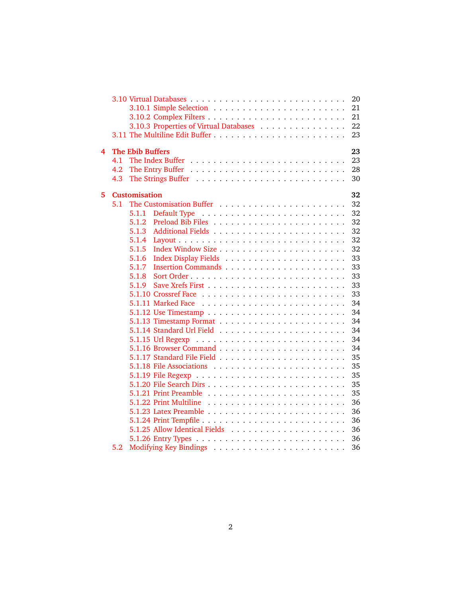|   |     |                         |                                        | 20 |
|---|-----|-------------------------|----------------------------------------|----|
|   |     |                         |                                        | 21 |
|   |     |                         |                                        | 21 |
|   |     |                         | 3.10.3 Properties of Virtual Databases | 22 |
|   |     |                         |                                        | 23 |
| 4 |     | <b>The Ebib Buffers</b> |                                        | 23 |
|   | 4.1 |                         |                                        | 23 |
|   | 4.2 |                         |                                        | 28 |
|   | 4.3 |                         |                                        | 30 |
| 5 |     | <b>Customisation</b>    |                                        | 32 |
|   | 5.1 |                         |                                        | 32 |
|   |     | 5.1.1                   |                                        | 32 |
|   |     | 5.1.2                   |                                        | 32 |
|   |     | 5.1.3                   |                                        | 32 |
|   |     | 5.1.4                   |                                        | 32 |
|   |     | 5.1.5                   |                                        | 32 |
|   |     | 5.1.6                   |                                        | 33 |
|   |     | 5.1.7                   |                                        | 33 |
|   |     | 5.1.8                   |                                        | 33 |
|   |     | 5.1.9                   |                                        | 33 |
|   |     |                         |                                        | 33 |
|   |     |                         |                                        | 34 |
|   |     |                         |                                        | 34 |
|   |     |                         |                                        | 34 |
|   |     |                         |                                        | 34 |
|   |     |                         |                                        | 34 |
|   |     |                         |                                        | 34 |
|   |     |                         |                                        | 35 |
|   |     |                         |                                        | 35 |
|   |     |                         |                                        | 35 |
|   |     |                         |                                        | 35 |
|   |     |                         |                                        | 35 |
|   |     |                         |                                        | 36 |
|   |     |                         |                                        | 36 |
|   |     |                         |                                        | 36 |
|   |     |                         |                                        | 36 |
|   |     |                         |                                        | 36 |
|   | 5.2 |                         |                                        | 36 |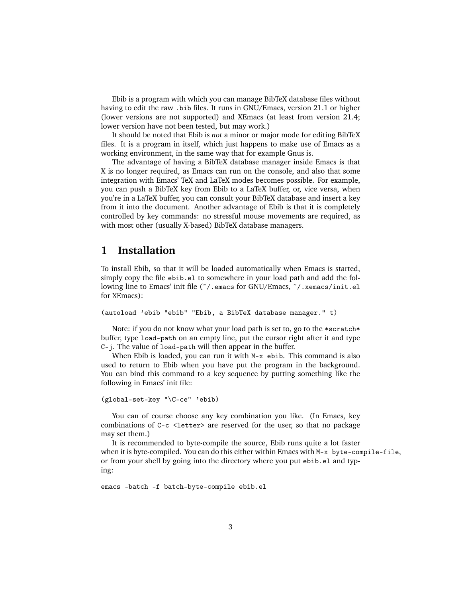Ebib is a program with which you can manage BibTeX database files without having to edit the raw .bib files. It runs in GNU/Emacs, version 21.1 or higher (lower versions are not supported) and XEmacs (at least from version 21.4; lower version have not been tested, but may work.)

It should be noted that Ebib is *not* a minor or major mode for editing BibTeX files. It is a program in itself, which just happens to make use of Emacs as a working environment, in the same way that for example Gnus is.

The advantage of having a BibTeX database manager inside Emacs is that X is no longer required, as Emacs can run on the console, and also that some integration with Emacs' TeX and LaTeX modes becomes possible. For example, you can push a BibTeX key from Ebib to a LaTeX buffer, or, vice versa, when you're in a LaTeX buffer, you can consult your BibTeX database and insert a key from it into the document. Another advantage of Ebib is that it is completely controlled by key commands: no stressful mouse movements are required, as with most other (usually X-based) BibTeX database managers.

# <span id="page-2-0"></span>**1 Installation**

To install Ebib, so that it will be loaded automatically when Emacs is started, simply copy the file ebib.el to somewhere in your load path and add the following line to Emacs' init file (˜/.emacs for GNU/Emacs, ˜/.xemacs/init.el for XEmacs):

```
(autoload 'ebib "ebib" "Ebib, a BibTeX database manager." t)
```
Note: if you do not know what your load path is set to, go to the \*scratch\* buffer, type load-path on an empty line, put the cursor right after it and type C-j. The value of load-path will then appear in the buffer.

When Ebib is loaded, you can run it with  $M-x$  ebib. This command is also used to return to Ebib when you have put the program in the background. You can bind this command to a key sequence by putting something like the following in Emacs' init file:

```
(global-set-key "\C-ce" 'ebib)
```
You can of course choose any key combination you like. (In Emacs, key combinations of  $C-c <$ letter> are reserved for the user, so that no package may set them.)

It is recommended to byte-compile the source, Ebib runs quite a lot faster when it is byte-compiled. You can do this either within Emacs with M-x byte-compile-file, or from your shell by going into the directory where you put ebib.el and typing:

emacs -batch -f batch-byte-compile ebib.el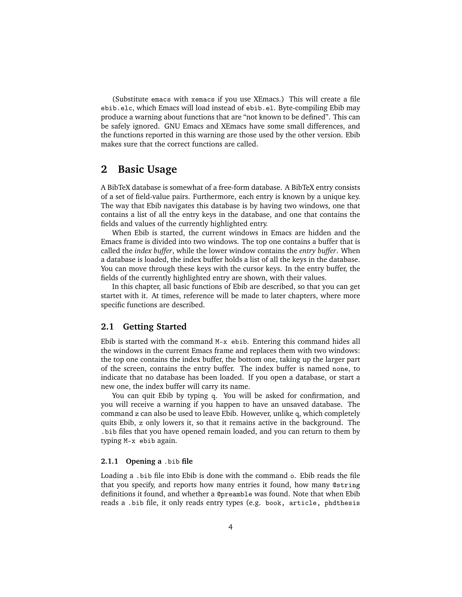(Substitute emacs with xemacs if you use XEmacs.) This will create a file ebib.elc, which Emacs will load instead of ebib.el. Byte-compiling Ebib may produce a warning about functions that are "not known to be defined". This can be safely ignored. GNU Emacs and XEmacs have some small differences, and the functions reported in this warning are those used by the other version. Ebib makes sure that the correct functions are called.

# <span id="page-3-0"></span>**2 Basic Usage**

A BibTeX database is somewhat of a free-form database. A BibTeX entry consists of a set of field-value pairs. Furthermore, each entry is known by a unique key. The way that Ebib navigates this database is by having two windows, one that contains a list of all the entry keys in the database, and one that contains the fields and values of the currently highlighted entry.

When Ebib is started, the current windows in Emacs are hidden and the Emacs frame is divided into two windows. The top one contains a buffer that is called the *index buffer*, while the lower window contains the *entry buffer*. When a database is loaded, the index buffer holds a list of all the keys in the database. You can move through these keys with the cursor keys. In the entry buffer, the fields of the currently highlighted entry are shown, with their values.

In this chapter, all basic functions of Ebib are described, so that you can get startet with it. At times, reference will be made to later chapters, where more specific functions are described.

# <span id="page-3-1"></span>**2.1 Getting Started**

Ebib is started with the command M-x ebib. Entering this command hides all the windows in the current Emacs frame and replaces them with two windows: the top one contains the index buffer, the bottom one, taking up the larger part of the screen, contains the entry buffer. The index buffer is named none, to indicate that no database has been loaded. If you open a database, or start a new one, the index buffer will carry its name.

You can quit Ebib by typing q. You will be asked for confirmation, and you will receive a warning if you happen to have an unsaved database. The command z can also be used to leave Ebib. However, unlike q, which completely quits Ebib, z only lowers it, so that it remains active in the background. The .bib files that you have opened remain loaded, and you can return to them by typing M-x ebib again.

#### <span id="page-3-2"></span>**2.1.1 Opening a** .bib **file**

Loading a .bib file into Ebib is done with the command o. Ebib reads the file that you specify, and reports how many entries it found, how many @string definitions it found, and whether a @preamble was found. Note that when Ebib reads a .bib file, it only reads entry types (e.g. book, article, phdthesis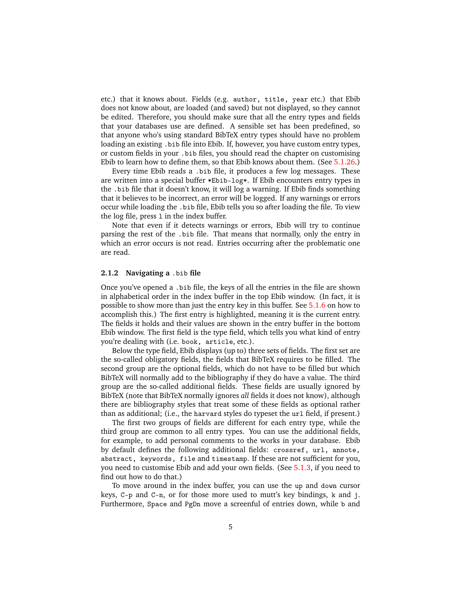etc.) that it knows about. Fields (e.g. author, title, year etc.) that Ebib does not know about, are loaded (and saved) but not displayed, so they cannot be edited. Therefore, you should make sure that all the entry types and fields that your databases use are defined. A sensible set has been predefined, so that anyone who's using standard BibTeX entry types should have no problem loading an existing .bib file into Ebib. If, however, you have custom entry types, or custom fields in your .bib files, you should read the chapter on customising Ebib to learn how to define them, so that Ebib knows about them. (See [5.1.26.](#page-36-4))

Every time Ebib reads a .bib file, it produces a few log messages. These are written into a special buffer \*Ebib-log\*. If Ebib encounters entry types in the .bib file that it doesn't know, it will log a warning. If Ebib finds something that it believes to be incorrect, an error will be logged. If any warnings or errors occur while loading the .bib file, Ebib tells you so after loading the file. To view the log file, press l in the index buffer.

Note that even if it detects warnings or errors, Ebib will try to continue parsing the rest of the .bib file. That means that normally, only the entry in which an error occurs is not read. Entries occurring after the problematic one are read.

# <span id="page-4-0"></span>**2.1.2 Navigating a** .bib **file**

Once you've opened a .bib file, the keys of all the entries in the file are shown in alphabetical order in the index buffer in the top Ebib window. (In fact, it is possible to show more than just the entry key in this buffer. See [5.1.6](#page-33-0) on how to accomplish this.) The first entry is highlighted, meaning it is the current entry. The fields it holds and their values are shown in the entry buffer in the bottom Ebib window. The first field is the type field, which tells you what kind of entry you're dealing with (i.e. book, article, etc.).

Below the type field, Ebib displays (up to) three sets of fields. The first set are the so-called obligatory fields, the fields that BibTeX requires to be filled. The second group are the optional fields, which do not have to be filled but which BibTeX will normally add to the bibliography if they do have a value. The third group are the so-called additional fields. These fields are usually ignored by BibTeX (note that BibTeX normally ignores *all* fields it does not know), although there are bibliography styles that treat some of these fields as optional rather than as additional; (i.e., the harvard styles do typeset the url field, if present.)

The first two groups of fields are different for each entry type, while the third group are common to all entry types. You can use the additional fields, for example, to add personal comments to the works in your database. Ebib by default defines the following additional fields: crossref, url, annote, abstract, keywords, file and timestamp. If these are not sufficient for you, you need to customise Ebib and add your own fields. (See [5.1.3,](#page-32-4) if you need to find out how to do that.)

To move around in the index buffer, you can use the up and down cursor keys,  $C-p$  and  $C-n$ , or for those more used to mutt's key bindings, k and j. Furthermore, Space and PgDn move a screenful of entries down, while b and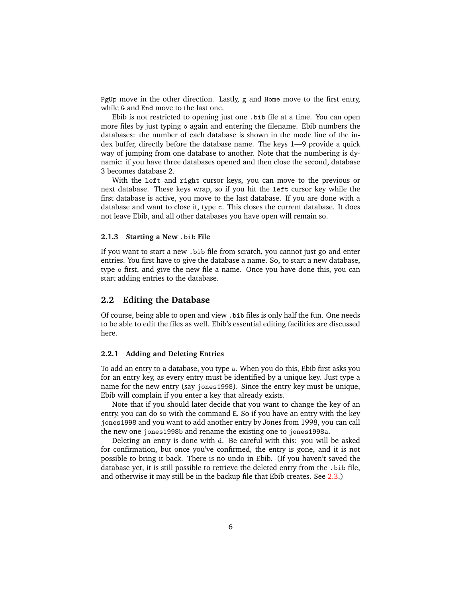PgUp move in the other direction. Lastly, g and Home move to the first entry, while G and End move to the last one.

Ebib is not restricted to opening just one .bib file at a time. You can open more files by just typing o again and entering the filename. Ebib numbers the databases: the number of each database is shown in the mode line of the index buffer, directly before the database name. The keys 1—9 provide a quick way of jumping from one database to another. Note that the numbering is dynamic: if you have three databases opened and then close the second, database 3 becomes database 2.

With the left and right cursor keys, you can move to the previous or next database. These keys wrap, so if you hit the left cursor key while the first database is active, you move to the last database. If you are done with a database and want to close it, type c. This closes the current database. It does not leave Ebib, and all other databases you have open will remain so.

# <span id="page-5-0"></span>**2.1.3 Starting a New** .bib **File**

If you want to start a new .bib file from scratch, you cannot just go and enter entries. You first have to give the database a name. So, to start a new database, type o first, and give the new file a name. Once you have done this, you can start adding entries to the database.

# <span id="page-5-1"></span>**2.2 Editing the Database**

Of course, being able to open and view .bib files is only half the fun. One needs to be able to edit the files as well. Ebib's essential editing facilities are discussed here.

#### <span id="page-5-2"></span>**2.2.1 Adding and Deleting Entries**

To add an entry to a database, you type a. When you do this, Ebib first asks you for an entry key, as every entry must be identified by a unique key. Just type a name for the new entry (say jones1998). Since the entry key must be unique, Ebib will complain if you enter a key that already exists.

Note that if you should later decide that you want to change the key of an entry, you can do so with the command E. So if you have an entry with the key jones1998 and you want to add another entry by Jones from 1998, you can call the new one jones1998b and rename the existing one to jones1998a.

Deleting an entry is done with d. Be careful with this: you will be asked for confirmation, but once you've confirmed, the entry is gone, and it is not possible to bring it back. There is no undo in Ebib. (If you haven't saved the database yet, it is still possible to retrieve the deleted entry from the .bib file, and otherwise it may still be in the backup file that Ebib creates. See [2.3.](#page-7-1))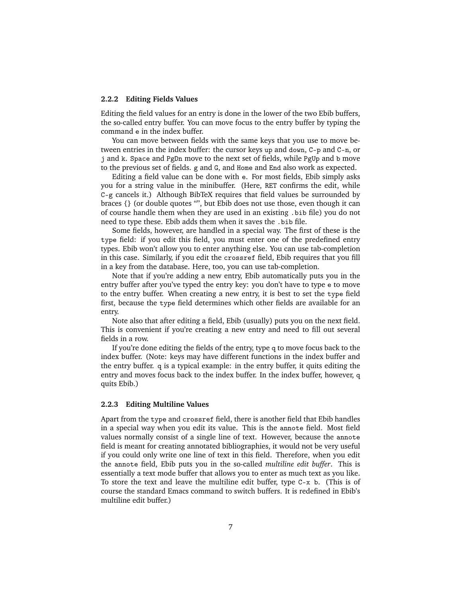#### <span id="page-6-0"></span>**2.2.2 Editing Fields Values**

Editing the field values for an entry is done in the lower of the two Ebib buffers, the so-called entry buffer. You can move focus to the entry buffer by typing the command e in the index buffer.

You can move between fields with the same keys that you use to move between entries in the index buffer: the cursor keys up and down, C-p and C-n, or j and k. Space and PgDn move to the next set of fields, while PgUp and b move to the previous set of fields. g and G, and Home and End also work as expected.

Editing a field value can be done with e. For most fields, Ebib simply asks you for a string value in the minibuffer. (Here, RET confirms the edit, while C-g cancels it.) Although BibTeX requires that field values be surrounded by braces {} (or double quotes "", but Ebib does not use those, even though it can of course handle them when they are used in an existing .bib file) you do not need to type these. Ebib adds them when it saves the .bib file.

Some fields, however, are handled in a special way. The first of these is the type field: if you edit this field, you must enter one of the predefined entry types. Ebib won't allow you to enter anything else. You can use tab-completion in this case. Similarly, if you edit the crossref field, Ebib requires that you fill in a key from the database. Here, too, you can use tab-completion.

Note that if you're adding a new entry, Ebib automatically puts you in the entry buffer after you've typed the entry key: you don't have to type e to move to the entry buffer. When creating a new entry, it is best to set the type field first, because the type field determines which other fields are available for an entry.

Note also that after editing a field, Ebib (usually) puts you on the next field. This is convenient if you're creating a new entry and need to fill out several fields in a row.

If you're done editing the fields of the entry, type q to move focus back to the index buffer. (Note: keys may have different functions in the index buffer and the entry buffer. q is a typical example: in the entry buffer, it quits editing the entry and moves focus back to the index buffer. In the index buffer, however, q quits Ebib.)

#### <span id="page-6-1"></span>**2.2.3 Editing Multiline Values**

Apart from the type and crossref field, there is another field that Ebib handles in a special way when you edit its value. This is the annote field. Most field values normally consist of a single line of text. However, because the annote field is meant for creating annotated bibliographies, it would not be very useful if you could only write one line of text in this field. Therefore, when you edit the annote field, Ebib puts you in the so-called *multiline edit buffer*. This is essentially a text mode buffer that allows you to enter as much text as you like. To store the text and leave the multiline edit buffer, type C-x b. (This is of course the standard Emacs command to switch buffers. It is redefined in Ebib's multiline edit buffer.)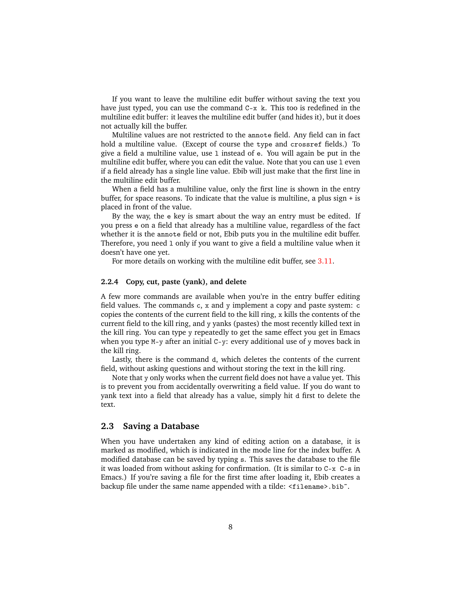If you want to leave the multiline edit buffer without saving the text you have just typed, you can use the command C-x k. This too is redefined in the multiline edit buffer: it leaves the multiline edit buffer (and hides it), but it does not actually kill the buffer.

Multiline values are not restricted to the annote field. Any field can in fact hold a multiline value. (Except of course the type and crossref fields.) To give a field a multiline value, use l instead of e. You will again be put in the multiline edit buffer, where you can edit the value. Note that you can use l even if a field already has a single line value. Ebib will just make that the first line in the multiline edit buffer.

When a field has a multiline value, only the first line is shown in the entry buffer, for space reasons. To indicate that the value is multiline, a plus sign + is placed in front of the value.

By the way, the e key is smart about the way an entry must be edited. If you press e on a field that already has a multiline value, regardless of the fact whether it is the annote field or not, Ebib puts you in the multiline edit buffer. Therefore, you need l only if you want to give a field a multiline value when it doesn't have one yet.

For more details on working with the multiline edit buffer, see [3.11.](#page-23-0)

#### <span id="page-7-0"></span>**2.2.4 Copy, cut, paste (yank), and delete**

A few more commands are available when you're in the entry buffer editing field values. The commands c, x and y implement a copy and paste system: c copies the contents of the current field to the kill ring, x kills the contents of the current field to the kill ring, and y yanks (pastes) the most recently killed text in the kill ring. You can type y repeatedly to get the same effect you get in Emacs when you type M-y after an initial C-y: every additional use of y moves back in the kill ring.

Lastly, there is the command d, which deletes the contents of the current field, without asking questions and without storing the text in the kill ring.

Note that y only works when the current field does not have a value yet. This is to prevent you from accidentally overwriting a field value. If you do want to yank text into a field that already has a value, simply hit d first to delete the text.

# <span id="page-7-1"></span>**2.3 Saving a Database**

When you have undertaken any kind of editing action on a database, it is marked as modified, which is indicated in the mode line for the index buffer. A modified database can be saved by typing s. This saves the database to the file it was loaded from without asking for confirmation. (It is similar to C-x C-s in Emacs.) If you're saving a file for the first time after loading it, Ebib creates a backup file under the same name appended with a tilde: <filename>.bib˜.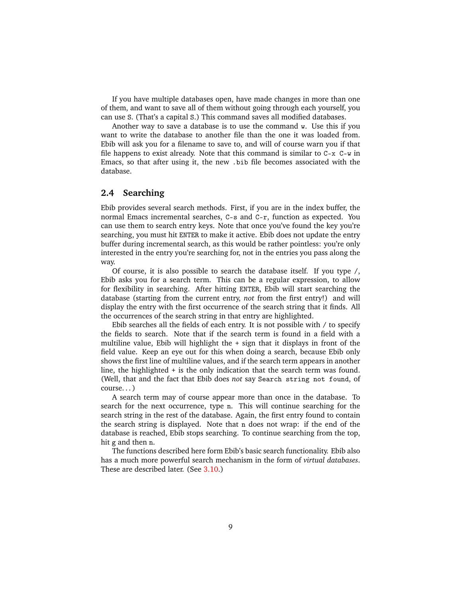If you have multiple databases open, have made changes in more than one of them, and want to save all of them without going through each yourself, you can use S. (That's a capital S.) This command saves all modified databases.

Another way to save a database is to use the command w. Use this if you want to write the database to another file than the one it was loaded from. Ebib will ask you for a filename to save to, and will of course warn you if that file happens to exist already. Note that this command is similar to  $C-x$   $C-w$  in Emacs, so that after using it, the new .bib file becomes associated with the database.

# <span id="page-8-0"></span>**2.4 Searching**

Ebib provides several search methods. First, if you are in the index buffer, the normal Emacs incremental searches, C-s and C-r, function as expected. You can use them to search entry keys. Note that once you've found the key you're searching, you must hit ENTER to make it active. Ebib does not update the entry buffer during incremental search, as this would be rather pointless: you're only interested in the entry you're searching for, not in the entries you pass along the way.

Of course, it is also possible to search the database itself. If you type /, Ebib asks you for a search term. This can be a regular expression, to allow for flexibility in searching. After hitting ENTER, Ebib will start searching the database (starting from the current entry, *not* from the first entry!) and will display the entry with the first occurrence of the search string that it finds. All the occurrences of the search string in that entry are highlighted.

Ebib searches all the fields of each entry. It is not possible with / to specify the fields to search. Note that if the search term is found in a field with a multiline value, Ebib will highlight the + sign that it displays in front of the field value. Keep an eye out for this when doing a search, because Ebib only shows the first line of multiline values, and if the search term appears in another line, the highlighted + is the only indication that the search term was found. (Well, that and the fact that Ebib does *not* say Search string not found, of course. . . )

A search term may of course appear more than once in the database. To search for the next occurrence, type n. This will continue searching for the search string in the rest of the database. Again, the first entry found to contain the search string is displayed. Note that n does not wrap: if the end of the database is reached, Ebib stops searching. To continue searching from the top, hit g and then n.

The functions described here form Ebib's basic search functionality. Ebib also has a much more powerful search mechanism in the form of *virtual databases*. These are described later. (See [3.10.](#page-20-0))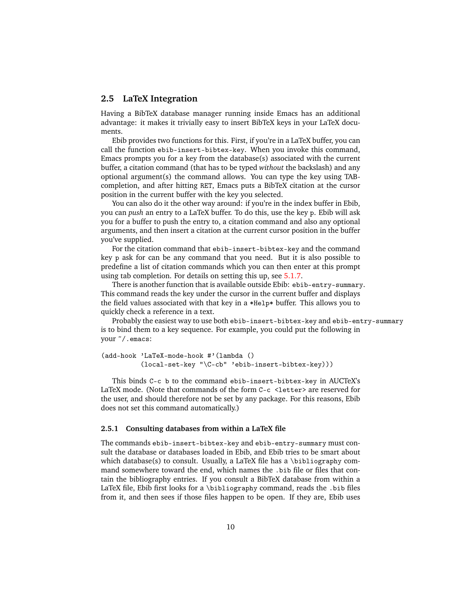# <span id="page-9-0"></span>**2.5 LaTeX Integration**

Having a BibTeX database manager running inside Emacs has an additional advantage: it makes it trivially easy to insert BibTeX keys in your LaTeX documents.

Ebib provides two functions for this. First, if you're in a LaTeX buffer, you can call the function ebib-insert-bibtex-key. When you invoke this command, Emacs prompts you for a key from the database(s) associated with the current buffer, a citation command (that has to be typed *without* the backslash) and any optional argument(s) the command allows. You can type the key using  $TAB$ completion, and after hitting RET, Emacs puts a BibTeX citation at the cursor position in the current buffer with the key you selected.

You can also do it the other way around: if you're in the index buffer in Ebib, you can *push* an entry to a LaTeX buffer. To do this, use the key p. Ebib will ask you for a buffer to push the entry to, a citation command and also any optional arguments, and then insert a citation at the current cursor position in the buffer you've supplied.

For the citation command that ebib-insert-bibtex-key and the command key p ask for can be any command that you need. But it is also possible to predefine a list of citation commands which you can then enter at this prompt using tab completion. For details on setting this up, see [5.1.7.](#page-33-1)

There is another function that is available outside Ebib: ebib-entry-summary. This command reads the key under the cursor in the current buffer and displays the field values associated with that key in a \*Help\* buffer. This allows you to quickly check a reference in a text.

Probably the easiest way to use both ebib-insert-bibtex-key and ebib-entry-summary is to bind them to a key sequence. For example, you could put the following in your ˜/.emacs:

(add-hook 'LaTeX-mode-hook #'(lambda () (local-set-key "\C-cb" 'ebib-insert-bibtex-key)))

This binds C-c b to the command ebib-insert-bibtex-key in AUCTeX's LaTeX mode. (Note that commands of the form C-c <letter> are reserved for the user, and should therefore not be set by any package. For this reasons, Ebib does not set this command automatically.)

#### <span id="page-9-1"></span>**2.5.1 Consulting databases from within a LaTeX file**

The commands ebib-insert-bibtex-key and ebib-entry-summary must consult the database or databases loaded in Ebib, and Ebib tries to be smart about which database(s) to consult. Usually, a LaTeX file has a \bibliography command somewhere toward the end, which names the .bib file or files that contain the bibliography entries. If you consult a BibTeX database from within a LaTeX file, Ebib first looks for a \bibliography command, reads the .bib files from it, and then sees if those files happen to be open. If they are, Ebib uses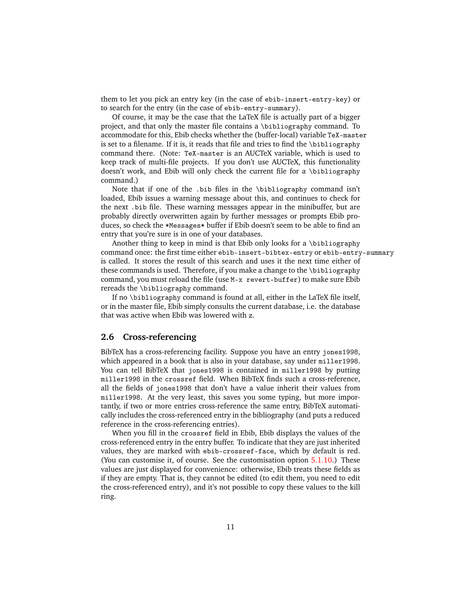them to let you pick an entry key (in the case of ebib-insert-entry-key) or to search for the entry (in the case of ebib-entry-summary).

Of course, it may be the case that the LaTeX file is actually part of a bigger project, and that only the master file contains a \bibliography command. To accommodate for this, Ebib checks whether the (buffer-local) variable TeX-master is set to a filename. If it is, it reads that file and tries to find the \bibliography command there. (Note: TeX-master is an AUCTeX variable, which is used to keep track of multi-file projects. If you don't use AUCTeX, this functionality doesn't work, and Ebib will only check the current file for a \bibliography command.)

Note that if one of the .bib files in the \bibliography command isn't loaded, Ebib issues a warning message about this, and continues to check for the next .bib file. These warning messages appear in the minibuffer, but are probably directly overwritten again by further messages or prompts Ebib produces, so check the \*Messages\* buffer if Ebib doesn't seem to be able to find an entry that you're sure is in one of your databases.

Another thing to keep in mind is that Ebib only looks for a  $\bibliography$ command once: the first time either ebib-insert-bibtex-entry or ebib-entry-summary is called. It stores the result of this search and uses it the next time either of these commands is used. Therefore, if you make a change to the \bibliography command, you must reload the file (use M-x revert-buffer) to make sure Ebib rereads the \bibliography command.

If no \bibliography command is found at all, either in the LaTeX file itself, or in the master file, Ebib simply consults the current database, i.e. the database that was active when Ebib was lowered with z.

# <span id="page-10-0"></span>**2.6 Cross-referencing**

BibTeX has a cross-referencing facility. Suppose you have an entry jones1998, which appeared in a book that is also in your database, say under miller1998. You can tell BibTeX that jones1998 is contained in miller1998 by putting miller1998 in the crossref field. When BibTeX finds such a cross-reference, all the fields of jones1998 that don't have a value inherit their values from miller1998. At the very least, this saves you some typing, but more importantly, if two or more entries cross-reference the same entry, BibTeX automatically includes the cross-referenced entry in the bibliography (and puts a reduced reference in the cross-referencing entries).

When you fill in the crossref field in Ebib, Ebib displays the values of the cross-referenced entry in the entry buffer. To indicate that they are just inherited values, they are marked with ebib-crossref-face, which by default is red. (You can customise it, of course. See the customisation option [5.1.10.](#page-33-4)) These values are just displayed for convenience: otherwise, Ebib treats these fields as if they are empty. That is, they cannot be edited (to edit them, you need to edit the cross-referenced entry), and it's not possible to copy these values to the kill ring.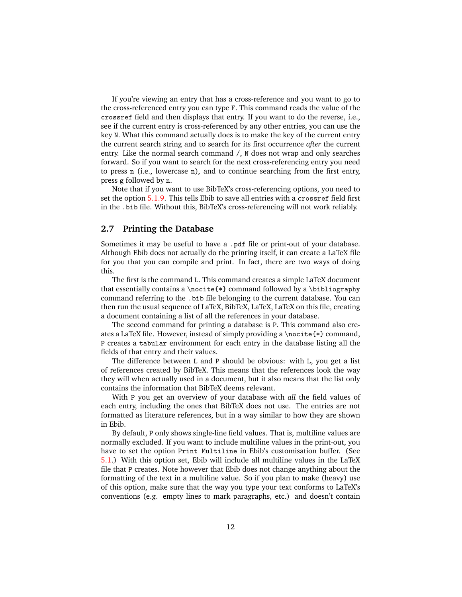If you're viewing an entry that has a cross-reference and you want to go to the cross-referenced entry you can type F. This command reads the value of the crossref field and then displays that entry. If you want to do the reverse, i.e., see if the current entry is cross-referenced by any other entries, you can use the key N. What this command actually does is to make the key of the current entry the current search string and to search for its first occurrence *after* the current entry. Like the normal search command /, N does not wrap and only searches forward. So if you want to search for the next cross-referencing entry you need to press n (i.e., lowercase n), and to continue searching from the first entry, press g followed by n.

Note that if you want to use BibTeX's cross-referencing options, you need to set the option [5.1.9.](#page-33-3) This tells Ebib to save all entries with a crossref field first in the .bib file. Without this, BibTeX's cross-referencing will not work reliably.

# <span id="page-11-0"></span>**2.7 Printing the Database**

Sometimes it may be useful to have a .pdf file or print-out of your database. Although Ebib does not actually do the printing itself, it can create a LaTeX file for you that you can compile and print. In fact, there are two ways of doing this.

The first is the command L. This command creates a simple LaTeX document that essentially contains a \nocite{\*} command followed by a \bibliography command referring to the .bib file belonging to the current database. You can then run the usual sequence of LaTeX, BibTeX, LaTeX, LaTeX on this file, creating a document containing a list of all the references in your database.

The second command for printing a database is P. This command also creates a LaTeX file. However, instead of simply providing a \nocite{\*} command, P creates a tabular environment for each entry in the database listing all the fields of that entry and their values.

The difference between L and P should be obvious: with L, you get a list of references created by BibTeX. This means that the references look the way they will when actually used in a document, but it also means that the list only contains the information that BibTeX deems relevant.

With P you get an overview of your database with *all* the field values of each entry, including the ones that BibTeX does not use. The entries are not formatted as literature references, but in a way similar to how they are shown in Ebib.

By default, P only shows single-line field values. That is, multiline values are normally excluded. If you want to include multiline values in the print-out, you have to set the option Print Multiline in Ebib's customisation buffer. (See [5.1.](#page-32-1)) With this option set, Ebib will include all multiline values in the LaTeX file that P creates. Note however that Ebib does not change anything about the formatting of the text in a multiline value. So if you plan to make (heavy) use of this option, make sure that the way you type your text conforms to LaTeX's conventions (e.g. empty lines to mark paragraphs, etc.) and doesn't contain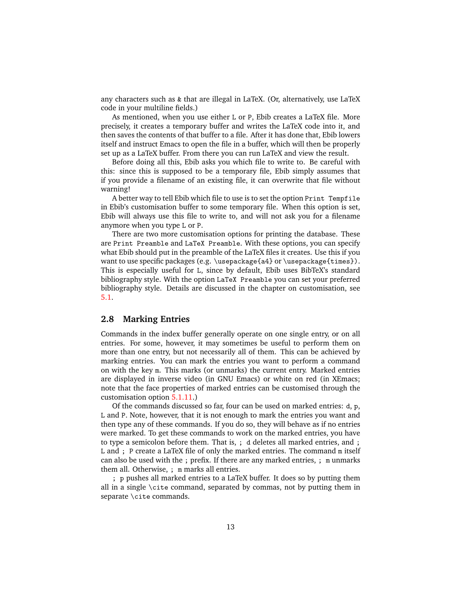any characters such as  $\&$  that are illegal in LaTeX. (Or, alternatively, use LaTeX code in your multiline fields.)

As mentioned, when you use either L or P, Ebib creates a LaTeX file. More precisely, it creates a temporary buffer and writes the LaTeX code into it, and then saves the contents of that buffer to a file. After it has done that, Ebib lowers itself and instruct Emacs to open the file in a buffer, which will then be properly set up as a LaTeX buffer. From there you can run LaTeX and view the result.

Before doing all this, Ebib asks you which file to write to. Be careful with this: since this is supposed to be a temporary file, Ebib simply assumes that if you provide a filename of an existing file, it can overwrite that file without warning!

A better way to tell Ebib which file to use is to set the option Print Tempfile in Ebib's customisation buffer to some temporary file. When this option is set, Ebib will always use this file to write to, and will not ask you for a filename anymore when you type L or P.

There are two more customisation options for printing the database. These are Print Preamble and LaTeX Preamble. With these options, you can specify what Ebib should put in the preamble of the LaTeX files it creates. Use this if you want to use specific packages (e.g. \usepackage{a4} or \usepackage{times}). This is especially useful for L, since by default, Ebib uses BibTeX's standard bibliography style. With the option LaTeX Preamble you can set your preferred bibliography style. Details are discussed in the chapter on customisation, see [5.1.](#page-32-1)

# <span id="page-12-0"></span>**2.8 Marking Entries**

Commands in the index buffer generally operate on one single entry, or on all entries. For some, however, it may sometimes be useful to perform them on more than one entry, but not necessarily all of them. This can be achieved by marking entries. You can mark the entries you want to perform a command on with the key m. This marks (or unmarks) the current entry. Marked entries are displayed in inverse video (in GNU Emacs) or white on red (in XEmacs; note that the face properties of marked entries can be customised through the customisation option [5.1.11.](#page-34-0))

Of the commands discussed so far, four can be used on marked entries: d, p, L and P. Note, however, that it is not enough to mark the entries you want and then type any of these commands. If you do so, they will behave as if no entries were marked. To get these commands to work on the marked entries, you have to type a semicolon before them. That is, ; d deletes all marked entries, and ; L and ; P create a LaTeX file of only the marked entries. The command m itself can also be used with the ; prefix. If there are any marked entries, ; m unmarks them all. Otherwise, ; m marks all entries.

; p pushes all marked entries to a LaTeX buffer. It does so by putting them all in a single \cite command, separated by commas, not by putting them in separate \cite commands.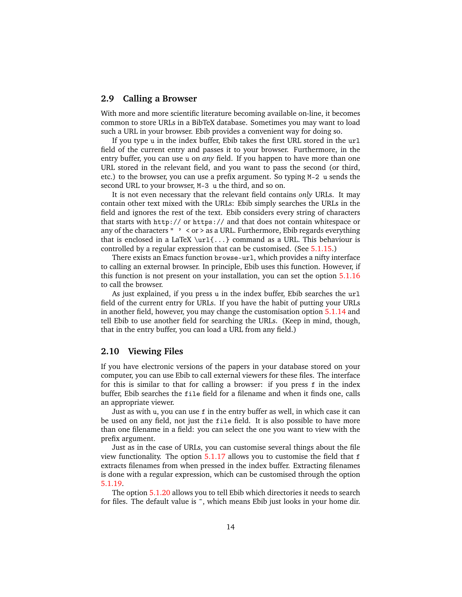# <span id="page-13-0"></span>**2.9 Calling a Browser**

With more and more scientific literature becoming available on-line, it becomes common to store URLs in a BibTeX database. Sometimes you may want to load such a URL in your browser. Ebib provides a convenient way for doing so.

If you type u in the index buffer, Ebib takes the first URL stored in the url field of the current entry and passes it to your browser. Furthermore, in the entry buffer, you can use u on *any* field. If you happen to have more than one URL stored in the relevant field, and you want to pass the second (or third, etc.) to the browser, you can use a prefix argument. So typing M-2 u sends the second URL to your browser, M-3 u the third, and so on.

It is not even necessary that the relevant field contains *only* URLs. It may contain other text mixed with the URLs: Ebib simply searches the URLs in the field and ignores the rest of the text. Ebib considers every string of characters that starts with http:// or https:// and that does not contain whitespace or any of the characters "  $\cdot$  < or > as a URL. Furthermore, Ebib regards everything that is enclosed in a LaTeX  $\url{...}$  command as a URL. This behaviour is controlled by a regular expression that can be customised. (See [5.1.15.](#page-34-4))

There exists an Emacs function browse-url, which provides a nifty interface to calling an external browser. In principle, Ebib uses this function. However, if this function is not present on your installation, you can set the option [5.1.16](#page-34-5) to call the browser.

As just explained, if you press u in the index buffer, Ebib searches the url field of the current entry for URLs. If you have the habit of putting your URLs in another field, however, you may change the customisation option [5.1.14](#page-34-3) and tell Ebib to use another field for searching the URLs. (Keep in mind, though, that in the entry buffer, you can load a URL from any field.)

# <span id="page-13-1"></span>**2.10 Viewing Files**

If you have electronic versions of the papers in your database stored on your computer, you can use Ebib to call external viewers for these files. The interface for this is similar to that for calling a browser: if you press f in the index buffer, Ebib searches the file field for a filename and when it finds one, calls an appropriate viewer.

Just as with u, you can use f in the entry buffer as well, in which case it can be used on any field, not just the file field. It is also possible to have more than one filename in a field: you can select the one you want to view with the prefix argument.

Just as in the case of URLs, you can customise several things about the file view functionality. The option [5.1.17](#page-35-0) allows you to customise the field that f extracts filenames from when pressed in the index buffer. Extracting filenames is done with a regular expression, which can be customised through the option [5.1.19.](#page-35-2)

The option [5.1.20](#page-35-3) allows you to tell Ebib which directories it needs to search for files. The default value is  $\tilde{\ }$ , which means Ebib just looks in your home dir.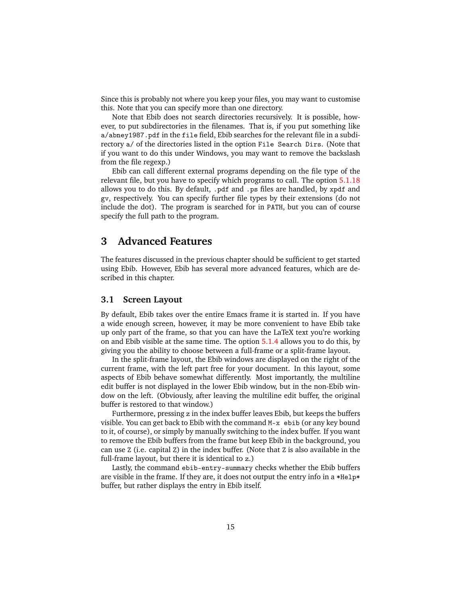Since this is probably not where you keep your files, you may want to customise this. Note that you can specify more than one directory.

Note that Ebib does not search directories recursively. It is possible, however, to put subdirectories in the filenames. That is, if you put something like a/abney1987.pdf in the file field, Ebib searches for the relevant file in a subdirectory a/ of the directories listed in the option File Search Dirs. (Note that if you want to do this under Windows, you may want to remove the backslash from the file regexp.)

Ebib can call different external programs depending on the file type of the relevant file, but you have to specify which programs to call. The option [5.1.18](#page-35-1) allows you to do this. By default, .pdf and .ps files are handled, by xpdf and gv, respectively. You can specify further file types by their extensions (do not include the dot). The program is searched for in PATH, but you can of course specify the full path to the program.

# <span id="page-14-0"></span>**3 Advanced Features**

The features discussed in the previous chapter should be sufficient to get started using Ebib. However, Ebib has several more advanced features, which are described in this chapter.

# <span id="page-14-1"></span>**3.1 Screen Layout**

By default, Ebib takes over the entire Emacs frame it is started in. If you have a wide enough screen, however, it may be more convenient to have Ebib take up only part of the frame, so that you can have the LaTeX text you're working on and Ebib visible at the same time. The option [5.1.4](#page-32-5) allows you to do this, by giving you the ability to choose between a full-frame or a split-frame layout.

In the split-frame layout, the Ebib windows are displayed on the right of the current frame, with the left part free for your document. In this layout, some aspects of Ebib behave somewhat differently. Most importantly, the multiline edit buffer is not displayed in the lower Ebib window, but in the non-Ebib window on the left. (Obviously, after leaving the multiline edit buffer, the original buffer is restored to that window.)

Furthermore, pressing z in the index buffer leaves Ebib, but keeps the buffers visible. You can get back to Ebib with the command M-x ebib (or any key bound to it, of course), or simply by manually switching to the index buffer. If you want to remove the Ebib buffers from the frame but keep Ebib in the background, you can use Z (i.e. capital Z) in the index buffer. (Note that Z is also available in the full-frame layout, but there it is identical to z.)

Lastly, the command ebib-entry-summary checks whether the Ebib buffers are visible in the frame. If they are, it does not output the entry info in a \*Help\* buffer, but rather displays the entry in Ebib itself.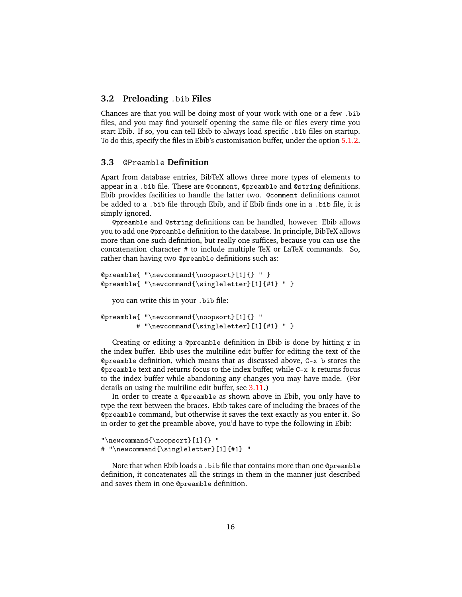# <span id="page-15-0"></span>**3.2 Preloading** .bib **Files**

Chances are that you will be doing most of your work with one or a few .bib files, and you may find yourself opening the same file or files every time you start Ebib. If so, you can tell Ebib to always load specific .bib files on startup. To do this, specify the files in Ebib's customisation buffer, under the option [5.1.2.](#page-32-3)

# <span id="page-15-1"></span>**3.3** @Preamble **Definition**

Apart from database entries, BibTeX allows three more types of elements to appear in a .bib file. These are @comment, @preamble and @string definitions. Ebib provides facilities to handle the latter two. @comment definitions cannot be added to a .bib file through Ebib, and if Ebib finds one in a .bib file, it is simply ignored.

@preamble and @string definitions can be handled, however. Ebib allows you to add one @preamble definition to the database. In principle, BibTeX allows more than one such definition, but really one suffices, because you can use the concatenation character # to include multiple TeX or LaTeX commands. So, rather than having two @preamble definitions such as:

```
@preamble{ "\newcommand{\noopsort}[1]{} " }
@preamble{ "\newcommand{\singleletter}[1]{#1} " }
  you can write this in your .bib file:
@preamble{ "\newcommand{\noopsort}[1]{} "
         # "\newcommand{\singleletter}[1]{#1} " }
```
Creating or editing a @preamble definition in Ebib is done by hitting  $r$  in the index buffer. Ebib uses the multiline edit buffer for editing the text of the @preamble definition, which means that as discussed above, C-x b stores the @preamble text and returns focus to the index buffer, while C-x k returns focus to the index buffer while abandoning any changes you may have made. (For details on using the multiline edit buffer, see [3.11.](#page-23-0))

In order to create a @preamble as shown above in Ebib, you only have to type the text between the braces. Ebib takes care of including the braces of the @preamble command, but otherwise it saves the text exactly as you enter it. So in order to get the preamble above, you'd have to type the following in Ebib:

```
"\newcommand{\noopsort}[1]{} "
# "\newcommand{\singleletter}[1]{#1} "
```
Note that when Ebib loads a .bib file that contains more than one @preamble definition, it concatenates all the strings in them in the manner just described and saves them in one @preamble definition.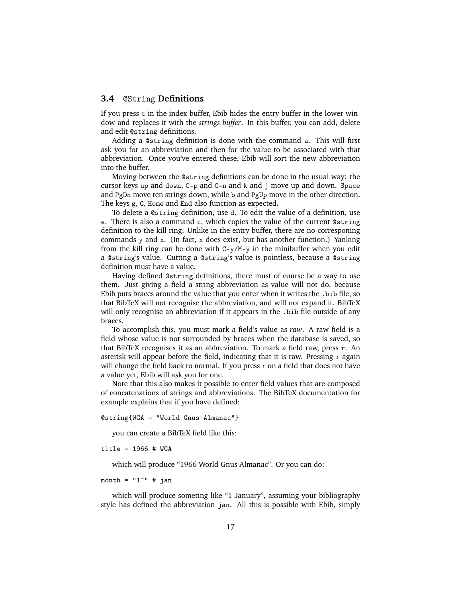# <span id="page-16-0"></span>**3.4** @String **Definitions**

If you press  $t$  in the index buffer, Ebib hides the entry buffer in the lower window and replaces it with the *strings buffer*. In this buffer, you can add, delete and edit @string definitions.

Adding a @string definition is done with the command a. This will first ask you for an abbreviation and then for the value to be associated with that abbreviation. Once you've entered these, Ebib will sort the new abbreviation into the buffer.

Moving between the @string definitions can be done in the usual way: the cursor keys up and down, C-p and C-n and k and j move up and down. Space and PgDn move ten strings down, while b and PgUp move in the other direction. The keys g, G, Home and End also function as expected.

To delete a @string definition, use d. To edit the value of a definition, use e. There is also a command c, which copies the value of the current @string definition to the kill ring. Unlike in the entry buffer, there are no corresponing commands y and x. (In fact, x does exist, but has another function.) Yanking from the kill ring can be done with C-y/M-y in the minibuffer when you edit a @string's value. Cutting a @string's value is pointless, because a @string definition must have a value.

Having defined @string definitions, there must of course be a way to use them. Just giving a field a string abbreviation as value will not do, because Ebib puts braces around the value that you enter when it writes the .bib file, so that BibTeX will not recognise the abbreviation, and will not expand it. BibTeX will only recognise an abbreviation if it appears in the .bib file outside of any braces.

To accomplish this, you must mark a field's value as *raw*. A raw field is a field whose value is not surrounded by braces when the database is saved, so that BibTeX recognises it as an abbreviation. To mark a field raw, press r. An asterisk will appear before the field, indicating that it is raw. Pressing r again will change the field back to normal. If you press r on a field that does not have a value yet, Ebib will ask you for one.

Note that this also makes it possible to enter field values that are composed of concatenations of strings and abbreviations. The BibTeX documentation for example explains that if you have defined:

@string{WGA = "World Gnus Almanac"}

you can create a BibTeX field like this:

title =  $1966$  # WGA

which will produce "1966 World Gnus Almanac". Or you can do:

month =  $"1"$  # jan

which will produce someting like "1 January", assuming your bibliography style has defined the abbreviation jan. All this is possible with Ebib, simply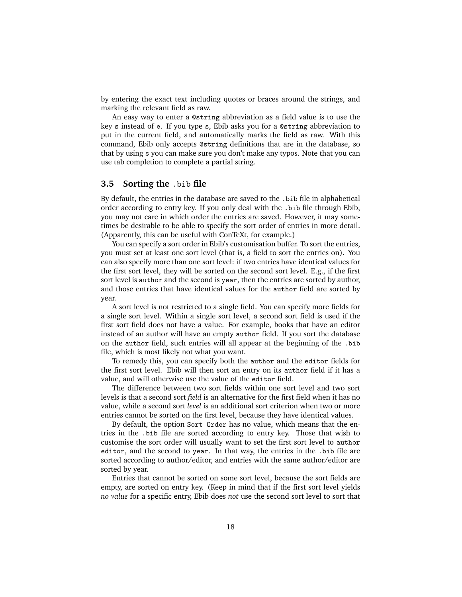by entering the exact text including quotes or braces around the strings, and marking the relevant field as raw.

An easy way to enter a @string abbreviation as a field value is to use the key s instead of e. If you type s, Ebib asks you for a @string abbreviation to put in the current field, and automatically marks the field as raw. With this command, Ebib only accepts @string definitions that are in the database, so that by using s you can make sure you don't make any typos. Note that you can use tab completion to complete a partial string.

# <span id="page-17-0"></span>**3.5 Sorting the** .bib **file**

By default, the entries in the database are saved to the .bib file in alphabetical order according to entry key. If you only deal with the .bib file through Ebib, you may not care in which order the entries are saved. However, it may sometimes be desirable to be able to specify the sort order of entries in more detail. (Apparently, this can be useful with ConTeXt, for example.)

You can specify a sort order in Ebib's customisation buffer. To sort the entries, you must set at least one sort level (that is, a field to sort the entries on). You can also specify more than one sort level: if two entries have identical values for the first sort level, they will be sorted on the second sort level. E.g., if the first sort level is author and the second is year, then the entries are sorted by author, and those entries that have identical values for the author field are sorted by year.

A sort level is not restricted to a single field. You can specify more fields for a single sort level. Within a single sort level, a second sort field is used if the first sort field does not have a value. For example, books that have an editor instead of an author will have an empty author field. If you sort the database on the author field, such entries will all appear at the beginning of the .bib file, which is most likely not what you want.

To remedy this, you can specify both the author and the editor fields for the first sort level. Ebib will then sort an entry on its author field if it has a value, and will otherwise use the value of the editor field.

The difference between two sort fields within one sort level and two sort levels is that a second sort *field* is an alternative for the first field when it has no value, while a second sort *level* is an additional sort criterion when two or more entries cannot be sorted on the first level, because they have identical values.

By default, the option Sort Order has no value, which means that the entries in the .bib file are sorted according to entry key. Those that wish to customise the sort order will usually want to set the first sort level to author editor, and the second to year. In that way, the entries in the .bib file are sorted according to author/editor, and entries with the same author/editor are sorted by year.

Entries that cannot be sorted on some sort level, because the sort fields are empty, are sorted on entry key. (Keep in mind that if the first sort level yields *no value* for a specific entry, Ebib does *not* use the second sort level to sort that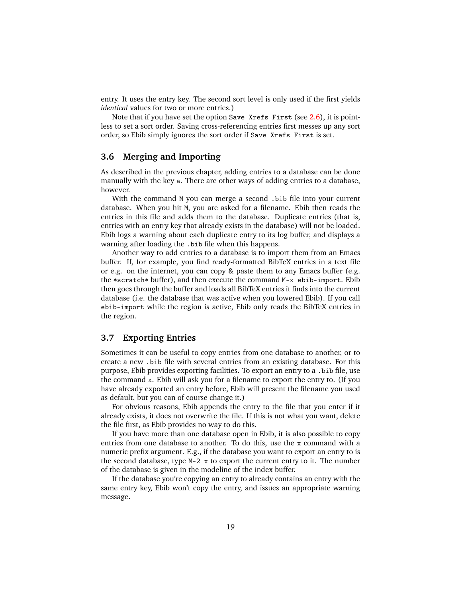entry. It uses the entry key. The second sort level is only used if the first yields *identical* values for two or more entries.)

Note that if you have set the option Save Xrefs First (see [2.6\)](#page-10-0), it is pointless to set a sort order. Saving cross-referencing entries first messes up any sort order, so Ebib simply ignores the sort order if Save Xrefs First is set.

# <span id="page-18-0"></span>**3.6 Merging and Importing**

As described in the previous chapter, adding entries to a database can be done manually with the key a. There are other ways of adding entries to a database, however.

With the command M you can merge a second .bib file into your current database. When you hit M, you are asked for a filename. Ebib then reads the entries in this file and adds them to the database. Duplicate entries (that is, entries with an entry key that already exists in the database) will not be loaded. Ebib logs a warning about each duplicate entry to its log buffer, and displays a warning after loading the .bib file when this happens.

Another way to add entries to a database is to import them from an Emacs buffer. If, for example, you find ready-formatted BibTeX entries in a text file or e.g. on the internet, you can copy & paste them to any Emacs buffer (e.g. the \*scratch\* buffer), and then execute the command M-x ebib-import. Ebib then goes through the buffer and loads all BibTeX entries it finds into the current database (i.e. the database that was active when you lowered Ebib). If you call ebib-import while the region is active, Ebib only reads the BibTeX entries in the region.

# <span id="page-18-1"></span>**3.7 Exporting Entries**

Sometimes it can be useful to copy entries from one database to another, or to create a new .bib file with several entries from an existing database. For this purpose, Ebib provides exporting facilities. To export an entry to a .bib file, use the command x. Ebib will ask you for a filename to export the entry to. (If you have already exported an entry before, Ebib will present the filename you used as default, but you can of course change it.)

For obvious reasons, Ebib appends the entry to the file that you enter if it already exists, it does not overwrite the file. If this is not what you want, delete the file first, as Ebib provides no way to do this.

If you have more than one database open in Ebib, it is also possible to copy entries from one database to another. To do this, use the x command with a numeric prefix argument. E.g., if the database you want to export an entry to is the second database, type M-2 x to export the current entry to it. The number of the database is given in the modeline of the index buffer.

If the database you're copying an entry to already contains an entry with the same entry key, Ebib won't copy the entry, and issues an appropriate warning message.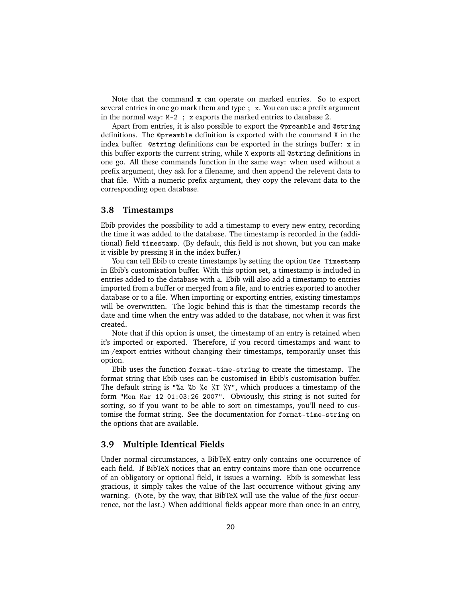Note that the command x can operate on marked entries. So to export several entries in one go mark them and type; x. You can use a prefix argument in the normal way: M-2 ; x exports the marked entries to database 2.

Apart from entries, it is also possible to export the @preamble and @string definitions. The @preamble definition is exported with the command X in the index buffer. @string definitions can be exported in the strings buffer: x in this buffer exports the current string, while X exports all @string definitions in one go. All these commands function in the same way: when used without a prefix argument, they ask for a filename, and then append the relevent data to that file. With a numeric prefix argument, they copy the relevant data to the corresponding open database.

# <span id="page-19-0"></span>**3.8 Timestamps**

Ebib provides the possibility to add a timestamp to every new entry, recording the time it was added to the database. The timestamp is recorded in the (additional) field timestamp. (By default, this field is not shown, but you can make it visible by pressing H in the index buffer.)

You can tell Ebib to create timestamps by setting the option Use Timestamp in Ebib's customisation buffer. With this option set, a timestamp is included in entries added to the database with a. Ebib will also add a timestamp to entries imported from a buffer or merged from a file, and to entries exported to another database or to a file. When importing or exporting entries, existing timestamps will be overwritten. The logic behind this is that the timestamp records the date and time when the entry was added to the database, not when it was first created.

Note that if this option is unset, the timestamp of an entry is retained when it's imported or exported. Therefore, if you record timestamps and want to im-/export entries without changing their timestamps, temporarily unset this option.

Ebib uses the function format-time-string to create the timestamp. The format string that Ebib uses can be customised in Ebib's customisation buffer. The default string is "%a %b %e %T %Y", which produces a timestamp of the form "Mon Mar 12 01:03:26 2007". Obviously, this string is not suited for sorting, so if you want to be able to sort on timestamps, you'll need to customise the format string. See the documentation for format-time-string on the options that are available.

# <span id="page-19-1"></span>**3.9 Multiple Identical Fields**

Under normal circumstances, a BibTeX entry only contains one occurrence of each field. If BibTeX notices that an entry contains more than one occurrence of an obligatory or optional field, it issues a warning. Ebib is somewhat less gracious, it simply takes the value of the last occurrence without giving any warning. (Note, by the way, that BibTeX will use the value of the *first* occurrence, not the last.) When additional fields appear more than once in an entry,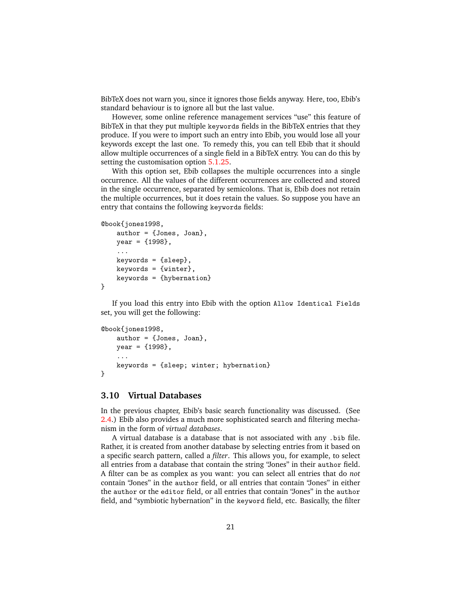BibTeX does not warn you, since it ignores those fields anyway. Here, too, Ebib's standard behaviour is to ignore all but the last value.

However, some online reference management services "use" this feature of BibTeX in that they put multiple keywords fields in the BibTeX entries that they produce. If you were to import such an entry into Ebib, you would lose all your keywords except the last one. To remedy this, you can tell Ebib that it should allow multiple occurrences of a single field in a BibTeX entry. You can do this by setting the customisation option [5.1.25.](#page-36-3)

With this option set, Ebib collapses the multiple occurrences into a single occurrence. All the values of the different occurrences are collected and stored in the single occurrence, separated by semicolons. That is, Ebib does not retain the multiple occurrences, but it does retain the values. So suppose you have an entry that contains the following keywords fields:

```
@book{jones1998,
    author = {Jones, Joan},
    year = {1998},
    ...
    keywords = {sleep},
    keywords = {winter},
    keywords = {hybernation}
}
```
If you load this entry into Ebib with the option Allow Identical Fields set, you will get the following:

```
@book{jones1998,
```

```
author = {Jones, Joan},year = {1998},
    ...
    keywords = {sleep; winter; hybernation}
}
```
# <span id="page-20-0"></span>**3.10 Virtual Databases**

In the previous chapter, Ebib's basic search functionality was discussed. (See [2.4.](#page-8-0)) Ebib also provides a much more sophisticated search and filtering mechanism in the form of *virtual databases*.

A virtual database is a database that is not associated with any .bib file. Rather, it is created from another database by selecting entries from it based on a specific search pattern, called a *filter*. This allows you, for example, to select all entries from a database that contain the string "Jones" in their author field. A filter can be as complex as you want: you can select all entries that do *not* contain "Jones" in the author field, or all entries that contain "Jones" in either the author or the editor field, or all entries that contain "Jones" in the author field, and "symbiotic hybernation" in the keyword field, etc. Basically, the filter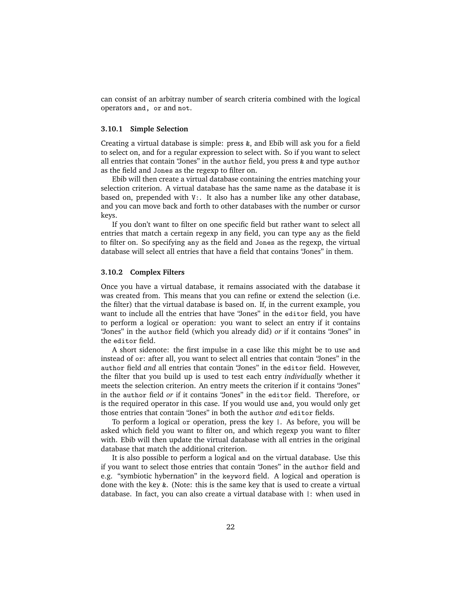can consist of an arbitray number of search criteria combined with the logical operators and, or and not.

#### <span id="page-21-0"></span>**3.10.1 Simple Selection**

Creating a virtual database is simple: press &, and Ebib will ask you for a field to select on, and for a regular expression to select with. So if you want to select all entries that contain "Jones" in the author field, you press & and type author as the field and Jones as the regexp to filter on.

Ebib will then create a virtual database containing the entries matching your selection criterion. A virtual database has the same name as the database it is based on, prepended with V:. It also has a number like any other database, and you can move back and forth to other databases with the number or cursor keys.

If you don't want to filter on one specific field but rather want to select all entries that match a certain regexp in any field, you can type any as the field to filter on. So specifying any as the field and Jones as the regexp, the virtual database will select all entries that have a field that contains "Jones" in them.

#### <span id="page-21-1"></span>**3.10.2 Complex Filters**

Once you have a virtual database, it remains associated with the database it was created from. This means that you can refine or extend the selection (i.e. the filter) that the virtual database is based on. If, in the current example, you want to include all the entries that have "Jones" in the editor field, you have to perform a logical or operation: you want to select an entry if it contains "Jones" in the author field (which you already did) *or* if it contains "Jones" in the editor field.

A short sidenote: the first impulse in a case like this might be to use and instead of or: after all, you want to select all entries that contain "Jones" in the author field *and* all entries that contain "Jones" in the editor field. However, the filter that you build up is used to test each entry *individually* whether it meets the selection criterion. An entry meets the criterion if it contains "Jones" in the author field *or* if it contains "Jones" in the editor field. Therefore, or is the required operator in this case. If you would use and, you would only get those entries that contain "Jones" in both the author *and* editor fields.

To perform a logical or operation, press the key |. As before, you will be asked which field you want to filter on, and which regexp you want to filter with. Ebib will then update the virtual database with all entries in the original database that match the additional criterion.

It is also possible to perform a logical and on the virtual database. Use this if you want to select those entries that contain "Jones" in the author field and e.g. "symbiotic hybernation" in the keyword field. A logical and operation is done with the key &. (Note: this is the same key that is used to create a virtual database. In fact, you can also create a virtual database with |: when used in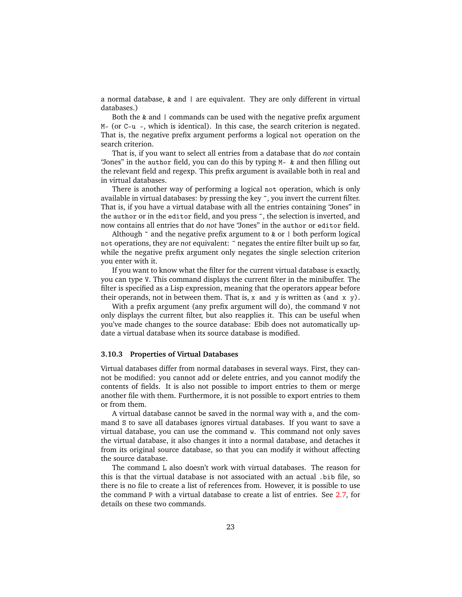a normal database, & and | are equivalent. They are only different in virtual databases.)

Both the  $\&$  and  $\vert$  commands can be used with the negative prefix argument M– (or C-u -, which is identical). In this case, the search criterion is negated. That is, the negative prefix argument performs a logical not operation on the search criterion.

That is, if you want to select all entries from a database that do *not* contain "Jones" in the author field, you can do this by typing M– & and then filling out the relevant field and regexp. This prefix argument is available both in real and in virtual databases.

There is another way of performing a logical not operation, which is only available in virtual databases: by pressing the key ˜, you invert the current filter. That is, if you have a virtual database with all the entries containing "Jones" in the author or in the editor field, and you press ˜, the selection is inverted, and now contains all entries that do *not* have "Jones" in the author or editor field.

Although  $\tilde{a}$  and the negative prefix argument to  $\tilde{\alpha}$  or  $\alpha$  both perform logical not operations, they are *not* equivalent: ˜ negates the entire filter built up so far, while the negative prefix argument only negates the single selection criterion you enter with it.

If you want to know what the filter for the current virtual database is exactly, you can type V. This command displays the current filter in the minibuffer. The filter is specified as a Lisp expression, meaning that the operators appear before their operands, not in between them. That is,  $x$  and  $y$  is written as (and  $x$   $y$ ).

With a prefix argument (any prefix argument will do), the command V not only displays the current filter, but also reapplies it. This can be useful when you've made changes to the source database: Ebib does not automatically update a virtual database when its source database is modified.

#### <span id="page-22-0"></span>**3.10.3 Properties of Virtual Databases**

Virtual databases differ from normal databases in several ways. First, they cannot be modified: you cannot add or delete entries, and you cannot modify the contents of fields. It is also not possible to import entries to them or merge another file with them. Furthermore, it is not possible to export entries to them or from them.

A virtual database cannot be saved in the normal way with s, and the command S to save all databases ignores virtual databases. If you want to save a virtual database, you can use the command w. This command not only saves the virtual database, it also changes it into a normal database, and detaches it from its original source database, so that you can modify it without affecting the source database.

The command L also doesn't work with virtual databases. The reason for this is that the virtual database is not associated with an actual .bib file, so there is no file to create a list of references from. However, it is possible to use the command P with a virtual database to create a list of entries. See [2.7,](#page-11-0) for details on these two commands.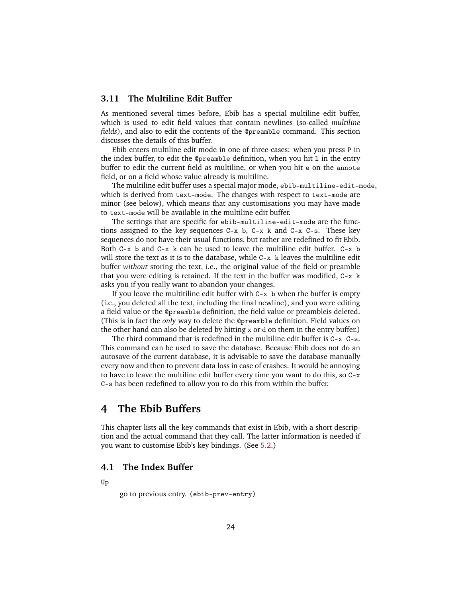# <span id="page-23-0"></span>**3.11 The Multiline Edit Buffer**

As mentioned several times before, Ebib has a special multiline edit buffer, which is used to edit field values that contain newlines (so-called *multiline fields*), and also to edit the contents of the @preamble command. This section discusses the details of this buffer.

Ebib enters multiline edit mode in one of three cases: when you press P in the index buffer, to edit the @preamble definition, when you hit l in the entry buffer to edit the current field as multiline, or when you hit e on the annote field, or on a field whose value already is multiline.

The multiline edit buffer uses a special major mode, ebib-multiline-edit-mode, which is derived from text-mode. The changes with respect to text-mode are minor (see below), which means that any customisations you may have made to text-mode will be available in the multiline edit buffer.

The settings that are specific for ebib-multiline-edit-mode are the functions assigned to the key sequences  $C-x$  b,  $C-x$  k and  $C-x$   $C-s$ . These key sequences do not have their usual functions, but rather are redefined to fit Ebib. Both  $C-x$  b and  $C-x$  k can be used to leave the multiline edit buffer.  $C-x$  b will store the text as it is to the database, while C-x k leaves the multiline edit buffer *without* storing the text, i.e., the original value of the field or preamble that you were editing is retained. If the text in the buffer was modified, C-x k asks you if you really want to abandon your changes.

If you leave the multitiline edit buffer with  $C-x$  b when the buffer is empty (i.e., you deleted all the text, including the final newline), and you were editing a field value or the @preamble definition, the field value or preambleis deleted. (This is in fact the *only* way to delete the @preamble definition. Field values on the other hand can also be deleted by hitting  $x$  or d on them in the entry buffer.)

The third command that is redefined in the multiline edit buffer is C-x C-s. This command can be used to save the database. Because Ebib does not do an autosave of the current database, it is advisable to save the database manually every now and then to prevent data loss in case of crashes. It would be annoying to have to leave the multiline edit buffer every time you want to do this, so C-x C-s has been redefined to allow you to do this from within the buffer.

# <span id="page-23-1"></span>**4 The Ebib Buffers**

This chapter lists all the key commands that exist in Ebib, with a short description and the actual command that they call. The latter information is needed if you want to customise Ebib's key bindings. (See [5.2.](#page-36-5))

# <span id="page-23-2"></span>**4.1 The Index Buffer**

Up

go to previous entry. (ebib-prev-entry)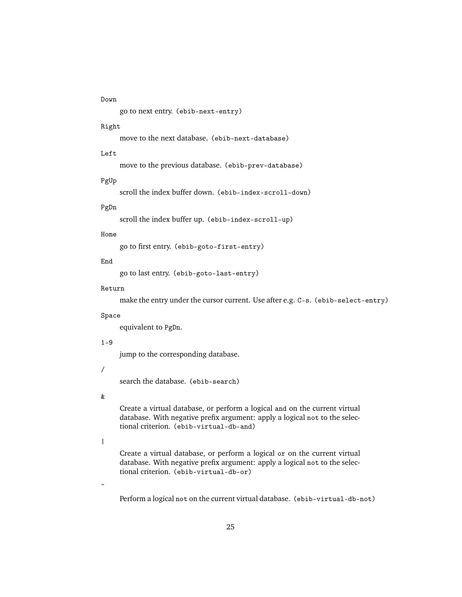# Down

go to next entry. (ebib-next-entry)

#### Right

move to the next database. (ebib-next-database)

#### Left

move to the previous database. (ebib-prev-database)

#### PgUp

scroll the index buffer down. (ebib-index-scroll-down)

# PgDn

scroll the index buffer up. (ebib-index-scroll-up)

#### Home

go to first entry. (ebib-goto-first-entry)

# End

go to last entry. (ebib-goto-last-entry)

#### Return

make the entry under the cursor current. Use after e.g. C-s. (ebib-select-entry)

# Space

equivalent to PgDn.

# $1 - 9$

jump to the corresponding database.

/

search the database. (ebib-search)

#### &

Create a virtual database, or perform a logical and on the current virtual database. With negative prefix argument: apply a logical not to the selectional criterion. (ebib-virtual-db-and)

# |

 $\tilde{\phantom{a}}$ 

Create a virtual database, or perform a logical or on the current virtual database. With negative prefix argument: apply a logical not to the selectional criterion. (ebib-virtual-db-or)

Perform a logical not on the current virtual database. (ebib-virtual-db-not)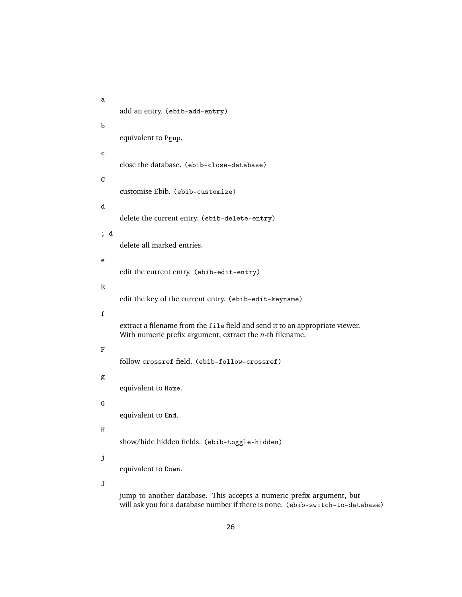```
a
     add an entry. (ebib-add-entry)
b
     equivalent to Pgup.
c
     close the database. (ebib-close-database)
C
     customise Ebib. (ebib-customize)
d
     delete the current entry. (ebib-delete-entry)
; d
     delete all marked entries.
e
     edit the current entry. (ebib-edit-entry)
E
     edit the key of the current entry. (ebib-edit-keyname)
f
     extract a filename from the file field and send it to an appropriate viewer.
     With numeric prefix argument, extract the n-th filename.
F
     follow crossref field. (ebib-follow-crossref)
g
     equivalent to Home.
G
     equivalent to End.
H
     show/hide hidden fields. (ebib-toggle-hidden)
j
     equivalent to Down.
J
     jump to another database. This accepts a numeric prefix argument, but
```
26

will ask you for a database number if there is none. (ebib-switch-to-database)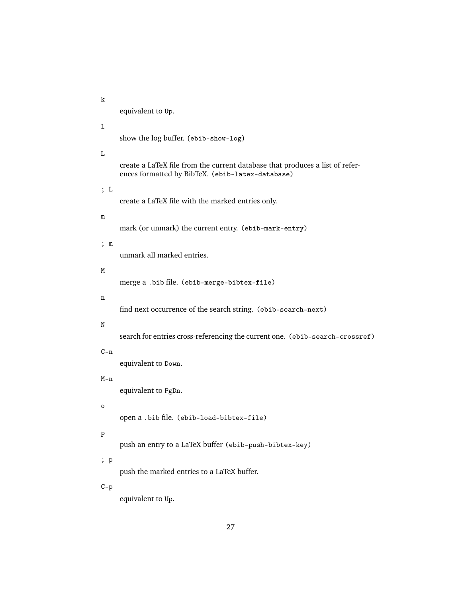k equivalent to Up.  $\mathbf{1}$ show the log buffer. (ebib-show-log) L create a LaTeX file from the current database that produces a list of references formatted by BibTeX. (ebib-latex-database) ; L create a LaTeX file with the marked entries only. m mark (or unmark) the current entry. (ebib-mark-entry) ; m unmark all marked entries. M merge a .bib file. (ebib-merge-bibtex-file) n find next occurrence of the search string. (ebib-search-next) N search for entries cross-referencing the current one. (ebib-search-crossref)  $C - n$ equivalent to Down. M-n equivalent to PgDn. o open a .bib file. (ebib-load-bibtex-file) p push an entry to a LaTeX buffer (ebib-push-bibtex-key) ; p push the marked entries to a LaTeX buffer. C-p equivalent to Up.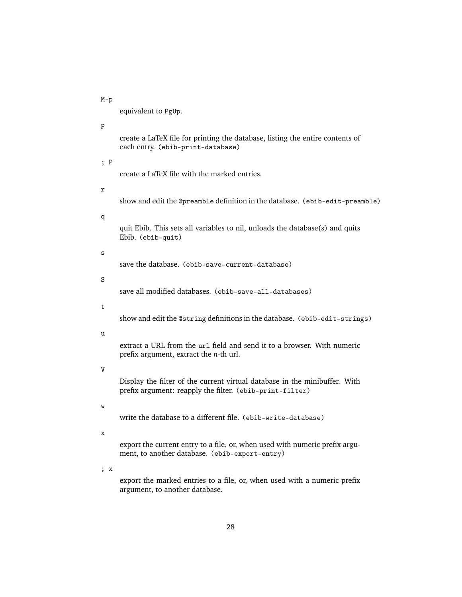equivalent to PgUp. P create a LaTeX file for printing the database, listing the entire contents of each entry. (ebib-print-database) ; P create a LaTeX file with the marked entries. r show and edit the @preamble definition in the database. (ebib-edit-preamble) q quit Ebib. This sets all variables to nil, unloads the database(s) and quits Ebib. (ebib-quit) s save the database. (ebib-save-current-database) S save all modified databases. (ebib-save-all-databases) t show and edit the @string definitions in the database. (ebib-edit-strings) u extract a URL from the ur1 field and send it to a browser. With numeric prefix argument, extract the *n*-th url. V Display the filter of the current virtual database in the minibuffer. With prefix argument: reapply the filter. (ebib-print-filter) w write the database to a different file. (ebib-write-database) x export the current entry to a file, or, when used with numeric prefix argument, to another database. (ebib-export-entry) ; x export the marked entries to a file, or, when used with a numeric prefix argument, to another database.

M-p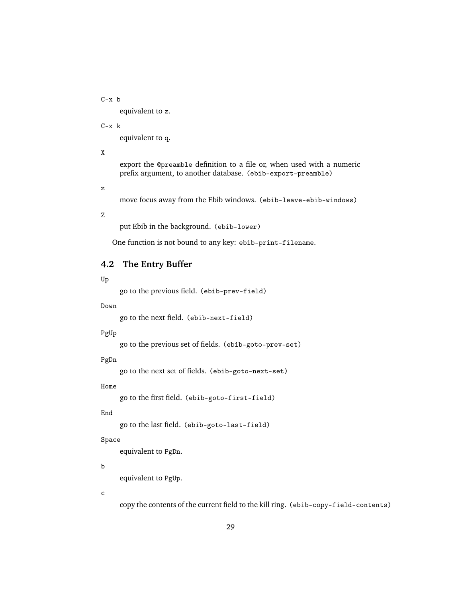C-x b

equivalent to z.

C-x k

equivalent to q.

X

export the @preamble definition to a file or, when used with a numeric prefix argument, to another database. (ebib-export-preamble)

z

move focus away from the Ebib windows. (ebib-leave-ebib-windows)

Z

put Ebib in the background. (ebib-lower)

One function is not bound to any key: ebib-print-filename.

# <span id="page-28-0"></span>**4.2 The Entry Buffer**

#### Up

go to the previous field. (ebib-prev-field)

#### Down

go to the next field. (ebib-next-field)

# PgUp

go to the previous set of fields. (ebib-goto-prev-set)

#### PgDn

go to the next set of fields. (ebib-goto-next-set)

#### Home

go to the first field. (ebib-goto-first-field)

#### End

go to the last field. (ebib-goto-last-field)

#### Space

equivalent to PgDn.

#### b

equivalent to PgUp.

c

copy the contents of the current field to the kill ring. (ebib-copy-field-contents)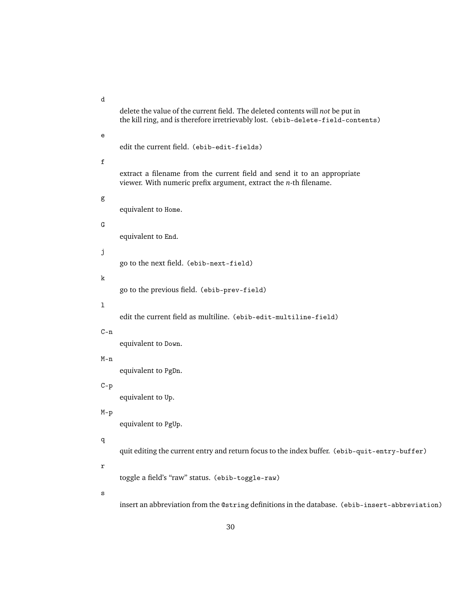d delete the value of the current field. The deleted contents will *not* be put in the kill ring, and is therefore irretrievably lost. (ebib-delete-field-contents) e edit the current field. (ebib-edit-fields) f extract a filename from the current field and send it to an appropriate viewer. With numeric prefix argument, extract the *n*-th filename. g equivalent to Home. G equivalent to End. j go to the next field. (ebib-next-field) k go to the previous field. (ebib-prev-field)  $\mathbf{1}$ edit the current field as multiline. (ebib-edit-multiline-field) C-n equivalent to Down. M-n equivalent to PgDn. C-p equivalent to Up. M-p equivalent to PgUp. q quit editing the current entry and return focus to the index buffer. (ebib-quit-entry-buffer) r toggle a field's "raw" status. (ebib-toggle-raw) s insert an abbreviation from the @string definitions in the database. (ebib-insert-abbreviation)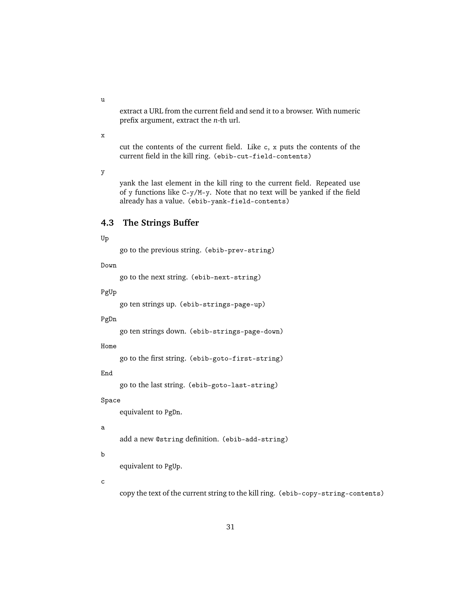extract a URL from the current field and send it to a browser. With numeric prefix argument, extract the *n*-th url.

x

u

cut the contents of the current field. Like c, x puts the contents of the current field in the kill ring. (ebib-cut-field-contents)

y

yank the last element in the kill ring to the current field. Repeated use of y functions like C-y/M-y. Note that no text will be yanked if the field already has a value. (ebib-yank-field-contents)

# <span id="page-30-0"></span>**4.3 The Strings Buffer**

#### Up

go to the previous string. (ebib-prev-string)

Down

go to the next string. (ebib-next-string)

PgUp

go ten strings up. (ebib-strings-page-up)

PgDn

go ten strings down. (ebib-strings-page-down)

Home

go to the first string. (ebib-goto-first-string)

End

go to the last string. (ebib-goto-last-string)

#### Space

equivalent to PgDn.

#### a

add a new @string definition. (ebib-add-string)

#### b

equivalent to PgUp.

c

copy the text of the current string to the kill ring. (ebib-copy-string-contents)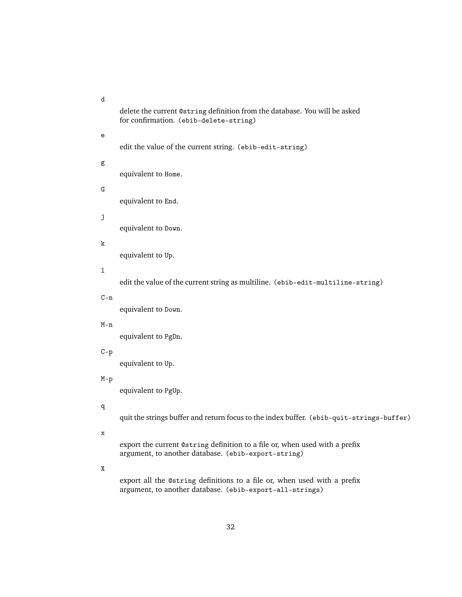d

| delete the current @string definition from the database. You will be asked |  |  |
|----------------------------------------------------------------------------|--|--|
| for confirmation. (ebib-delete-string)                                     |  |  |

# e

edit the value of the current string. (ebib-edit-string)

# g

equivalent to Home.

# G

equivalent to End.

# j

equivalent to Down.

# k

equivalent to Up.

# l

edit the value of the current string as multiline. (ebib-edit-multiline-string)

# $C - n$

equivalent to Down.

#### M-n

equivalent to PgDn.

# C-p

equivalent to Up.

# M-p

equivalent to PgUp.

# q

quit the strings buffer and return focus to the index buffer. (ebib-quit-strings-buffer)

x

export the current @string definition to a file or, when used with a prefix argument, to another database. (ebib-export-string)

# X

export all the @string definitions to a file or, when used with a prefix argument, to another database. (ebib-export-all-strings)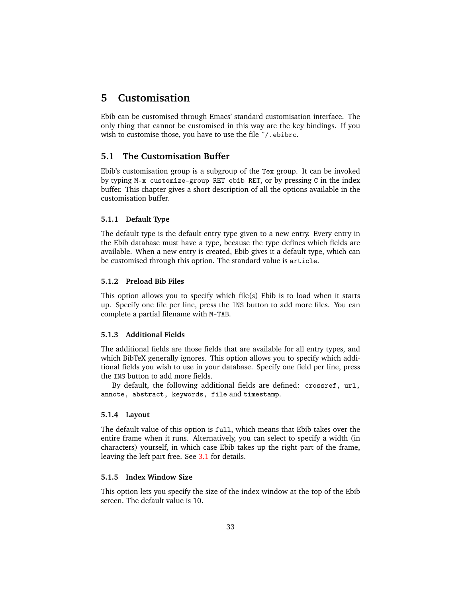# <span id="page-32-0"></span>**5 Customisation**

Ebib can be customised through Emacs' standard customisation interface. The only thing that cannot be customised in this way are the key bindings. If you wish to customise those, you have to use the file  $\gamma$ . ebibrc.

# <span id="page-32-1"></span>**5.1 The Customisation Buffer**

Ebib's customisation group is a subgroup of the Tex group. It can be invoked by typing M-x customize-group RET ebib RET, or by pressing C in the index buffer. This chapter gives a short description of all the options available in the customisation buffer.

# <span id="page-32-2"></span>**5.1.1 Default Type**

The default type is the default entry type given to a new entry. Every entry in the Ebib database must have a type, because the type defines which fields are available. When a new entry is created, Ebib gives it a default type, which can be customised through this option. The standard value is article.

# <span id="page-32-3"></span>**5.1.2 Preload Bib Files**

This option allows you to specify which file(s) Ebib is to load when it starts up. Specify one file per line, press the INS button to add more files. You can complete a partial filename with M-TAB.

### <span id="page-32-4"></span>**5.1.3 Additional Fields**

The additional fields are those fields that are available for all entry types, and which BibTeX generally ignores. This option allows you to specify which additional fields you wish to use in your database. Specify one field per line, press the INS button to add more fields.

By default, the following additional fields are defined: crossref, url, annote, abstract, keywords, file and timestamp.

# <span id="page-32-5"></span>**5.1.4 Layout**

The default value of this option is full, which means that Ebib takes over the entire frame when it runs. Alternatively, you can select to specify a width (in characters) yourself, in which case Ebib takes up the right part of the frame, leaving the left part free. See [3.1](#page-14-1) for details.

# <span id="page-32-6"></span>**5.1.5 Index Window Size**

This option lets you specify the size of the index window at the top of the Ebib screen. The default value is 10.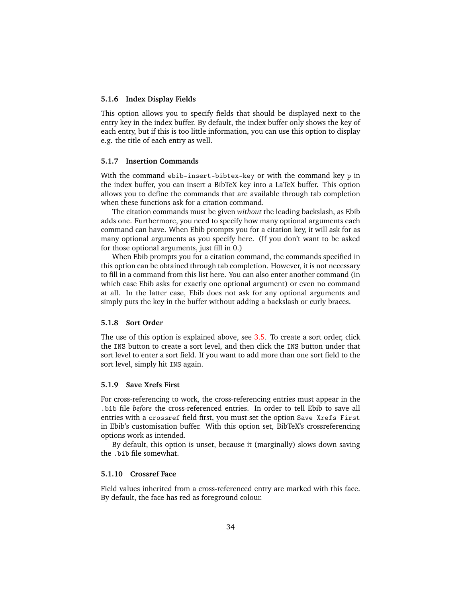#### <span id="page-33-0"></span>**5.1.6 Index Display Fields**

This option allows you to specify fields that should be displayed next to the entry key in the index buffer. By default, the index buffer only shows the key of each entry, but if this is too little information, you can use this option to display e.g. the title of each entry as well.

#### <span id="page-33-1"></span>**5.1.7 Insertion Commands**

With the command ebib-insert-bibtex-key or with the command key p in the index buffer, you can insert a BibTeX key into a LaTeX buffer. This option allows you to define the commands that are available through tab completion when these functions ask for a citation command.

The citation commands must be given *without* the leading backslash, as Ebib adds one. Furthermore, you need to specify how many optional arguments each command can have. When Ebib prompts you for a citation key, it will ask for as many optional arguments as you specify here. (If you don't want to be asked for those optional arguments, just fill in 0.)

When Ebib prompts you for a citation command, the commands specified in this option can be obtained through tab completion. However, it is not necessary to fill in a command from this list here. You can also enter another command (in which case Ebib asks for exactly one optional argument) or even no command at all. In the latter case, Ebib does not ask for any optional arguments and simply puts the key in the buffer without adding a backslash or curly braces.

### <span id="page-33-2"></span>**5.1.8 Sort Order**

The use of this option is explained above, see [3.5.](#page-17-0) To create a sort order, click the INS button to create a sort level, and then click the INS button under that sort level to enter a sort field. If you want to add more than one sort field to the sort level, simply hit INS again.

# <span id="page-33-3"></span>**5.1.9 Save Xrefs First**

For cross-referencing to work, the cross-referencing entries must appear in the .bib file *before* the cross-referenced entries. In order to tell Ebib to save all entries with a crossref field first, you must set the option Save Xrefs First in Ebib's customisation buffer. With this option set, BibTeX's crossreferencing options work as intended.

By default, this option is unset, because it (marginally) slows down saving the .bib file somewhat.

#### <span id="page-33-4"></span>**5.1.10 Crossref Face**

Field values inherited from a cross-referenced entry are marked with this face. By default, the face has red as foreground colour.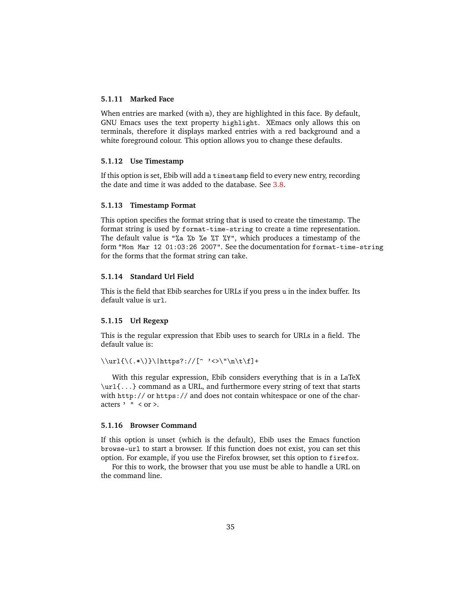# <span id="page-34-0"></span>**5.1.11 Marked Face**

When entries are marked (with  $m$ ), they are highlighted in this face. By default, GNU Emacs uses the text property highlight. XEmacs only allows this on terminals, therefore it displays marked entries with a red background and a white foreground colour. This option allows you to change these defaults.

# <span id="page-34-1"></span>**5.1.12 Use Timestamp**

If this option is set, Ebib will add a timestamp field to every new entry, recording the date and time it was added to the database. See [3.8.](#page-19-0)

#### <span id="page-34-2"></span>**5.1.13 Timestamp Format**

This option specifies the format string that is used to create the timestamp. The format string is used by format-time-string to create a time representation. The default value is "%a %b %e %T %Y", which produces a timestamp of the form "Mon Mar 12 01:03:26 2007". See the documentation for format-time-string for the forms that the format string can take.

# <span id="page-34-3"></span>**5.1.14 Standard Url Field**

This is the field that Ebib searches for URLs if you press u in the index buffer. Its default value is url.

#### <span id="page-34-4"></span>**5.1.15 Url Regexp**

This is the regular expression that Ebib uses to search for URLs in a field. The default value is:

```
\{\langle .*\rangle\}|\hat{C} '<>\"\n\t\f]+
```
With this regular expression, Ebib considers everything that is in a LaTeX \url{...} command as a URL, and furthermore every string of text that starts with http:// or https:// and does not contain whitespace or one of the characters  $'$  "  $\leq$  or  $\geq$ .

#### <span id="page-34-5"></span>**5.1.16 Browser Command**

If this option is unset (which is the default), Ebib uses the Emacs function browse-url to start a browser. If this function does not exist, you can set this option. For example, if you use the Firefox browser, set this option to firefox.

For this to work, the browser that you use must be able to handle a URL on the command line.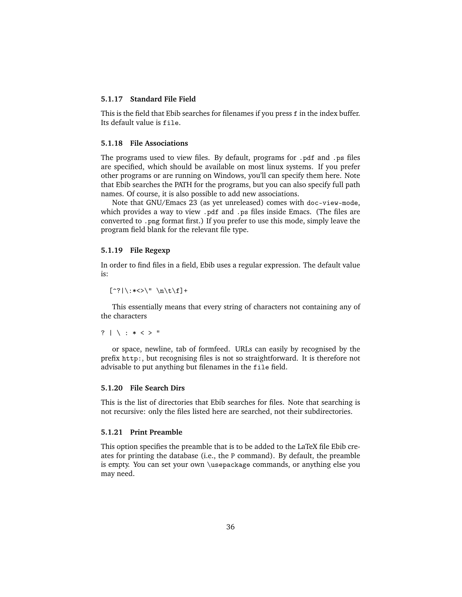# <span id="page-35-0"></span>**5.1.17 Standard File Field**

This is the field that Ebib searches for filenames if you press f in the index buffer. Its default value is file.

#### <span id="page-35-1"></span>**5.1.18 File Associations**

The programs used to view files. By default, programs for .pdf and .ps files are specified, which should be available on most linux systems. If you prefer other programs or are running on Windows, you'll can specify them here. Note that Ebib searches the PATH for the programs, but you can also specify full path names. Of course, it is also possible to add new associations.

Note that GNU/Emacs 23 (as yet unreleased) comes with doc-view-mode, which provides a way to view .pdf and .ps files inside Emacs. (The files are converted to .png format first.) If you prefer to use this mode, simply leave the program field blank for the relevant file type.

#### <span id="page-35-2"></span>**5.1.19 File Regexp**

In order to find files in a field, Ebib uses a regular expression. The default value is:

```
[\hat{\cdot}?|\:*<>\" \n\t\f]+
```
This essentially means that every string of characters not containing any of the characters

```
? | \ : * < > "
```
or space, newline, tab of formfeed. URLs can easily by recognised by the prefix http:, but recognising files is not so straightforward. It is therefore not advisable to put anything but filenames in the file field.

#### <span id="page-35-3"></span>**5.1.20 File Search Dirs**

This is the list of directories that Ebib searches for files. Note that searching is not recursive: only the files listed here are searched, not their subdirectories.

#### <span id="page-35-4"></span>**5.1.21 Print Preamble**

This option specifies the preamble that is to be added to the LaTeX file Ebib creates for printing the database (i.e., the P command). By default, the preamble is empty. You can set your own \usepackage commands, or anything else you may need.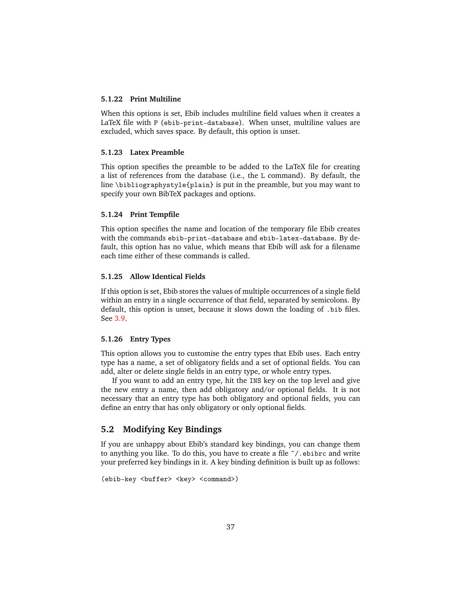# <span id="page-36-0"></span>**5.1.22 Print Multiline**

When this options is set, Ebib includes multiline field values when it creates a LaTeX file with P (ebib-print-database). When unset, multiline values are excluded, which saves space. By default, this option is unset.

#### <span id="page-36-1"></span>**5.1.23 Latex Preamble**

This option specifies the preamble to be added to the LaTeX file for creating a list of references from the database (i.e., the L command). By default, the line \bibliographystyle{plain} is put in the preamble, but you may want to specify your own BibTeX packages and options.

#### <span id="page-36-2"></span>**5.1.24 Print Tempfile**

This option specifies the name and location of the temporary file Ebib creates with the commands ebib-print-database and ebib-latex-database. By default, this option has no value, which means that Ebib will ask for a filename each time either of these commands is called.

#### <span id="page-36-3"></span>**5.1.25 Allow Identical Fields**

If this option is set, Ebib stores the values of multiple occurrences of a single field within an entry in a single occurrence of that field, separated by semicolons. By default, this option is unset, because it slows down the loading of .bib files. See [3.9.](#page-19-1)

#### <span id="page-36-4"></span>**5.1.26 Entry Types**

This option allows you to customise the entry types that Ebib uses. Each entry type has a name, a set of obligatory fields and a set of optional fields. You can add, alter or delete single fields in an entry type, or whole entry types.

If you want to add an entry type, hit the INS key on the top level and give the new entry a name, then add obligatory and/or optional fields. It is not necessary that an entry type has both obligatory and optional fields, you can define an entry that has only obligatory or only optional fields.

# <span id="page-36-5"></span>**5.2 Modifying Key Bindings**

If you are unhappy about Ebib's standard key bindings, you can change them to anything you like. To do this, you have to create a file ˜/.ebibrc and write your preferred key bindings in it. A key binding definition is built up as follows:

```
(ebib-key <br/> <br/> <br/>key> <command>)
```